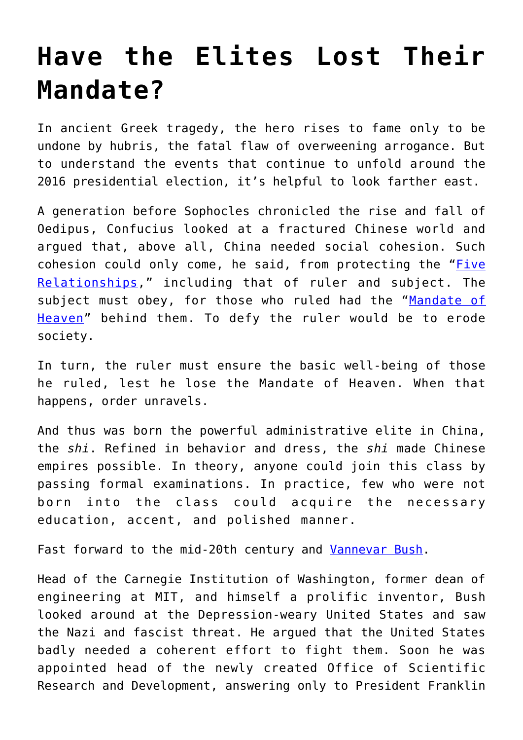## **[Have the Elites Lost Their](https://intellectualtakeout.org/2019/03/have-the-elites-lost-their-mandate/) [Mandate?](https://intellectualtakeout.org/2019/03/have-the-elites-lost-their-mandate/)**

In ancient Greek tragedy, the hero rises to fame only to be undone by hubris, the fatal flaw of overweening arrogance. But to understand the events that continue to unfold around the 2016 presidential election, it's helpful to look farther east.

A generation before Sophocles chronicled the rise and fall of Oedipus, Confucius looked at a fractured Chinese world and argued that, above all, China needed social cohesion. Such cohesion could only come, he said, from protecting the ["Five](https://spiritualray.com/introduction-to-confucianism-five-relationships) [Relationships](https://spiritualray.com/introduction-to-confucianism-five-relationships)," including that of ruler and subject. The subject must obey, for those who ruled had the "[Mandate of](https://www.ancient.eu/Mandate_of_Heaven/) [Heaven"](https://www.ancient.eu/Mandate_of_Heaven/) behind them. To defy the ruler would be to erode society.

In turn, the ruler must ensure the basic well-being of those he ruled, lest he lose the Mandate of Heaven. When that happens, order unravels.

And thus was born the powerful administrative elite in China, the *shi*. Refined in behavior and dress, the *shi* made Chinese empires possible. In theory, anyone could join this class by passing formal examinations. In practice, few who were not born into the class could acquire the necessary education, accent, and polished manner.

Fast forward to the mid-20th century and [Vannevar Bush](https://www.britannica.com/biography/Vannevar-Bush).

Head of the Carnegie Institution of Washington, former dean of engineering at MIT, and himself a prolific inventor, Bush looked around at the Depression-weary United States and saw the Nazi and fascist threat. He argued that the United States badly needed a coherent effort to fight them. Soon he was appointed head of the newly created Office of Scientific Research and Development, answering only to President Franklin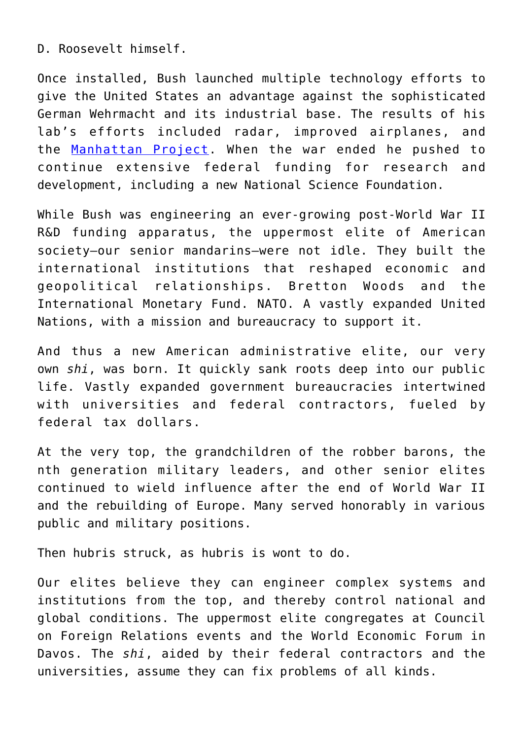D. Roosevelt himself.

Once installed, Bush launched multiple technology efforts to give the United States an advantage against the sophisticated German Wehrmacht and its industrial base. The results of his lab's efforts included radar, improved airplanes, and the [Manhattan Project](https://www.history.com/topics/world-war-ii/the-manhattan-project). When the war ended he pushed to continue extensive federal funding for research and development, including a new National Science Foundation.

While Bush was engineering an ever-growing post-World War II R&D funding apparatus, the uppermost elite of American society—our senior mandarins—were not idle. They built the international institutions that reshaped economic and geopolitical relationships. Bretton Woods and the International Monetary Fund. NATO. A vastly expanded United Nations, with a mission and bureaucracy to support it.

And thus a new American administrative elite, our very own *shi*, was born. It quickly sank roots deep into our public life. Vastly expanded government bureaucracies intertwined with universities and federal contractors, fueled by federal tax dollars.

At the very top, the grandchildren of the robber barons, the nth generation military leaders, and other senior elites continued to wield influence after the end of World War II and the rebuilding of Europe. Many served honorably in various public and military positions.

Then hubris struck, as hubris is wont to do.

Our elites believe they can engineer complex systems and institutions from the top, and thereby control national and global conditions. The uppermost elite congregates at Council on Foreign Relations events and the World Economic Forum in Davos. The *shi*, aided by their federal contractors and the universities, assume they can fix problems of all kinds.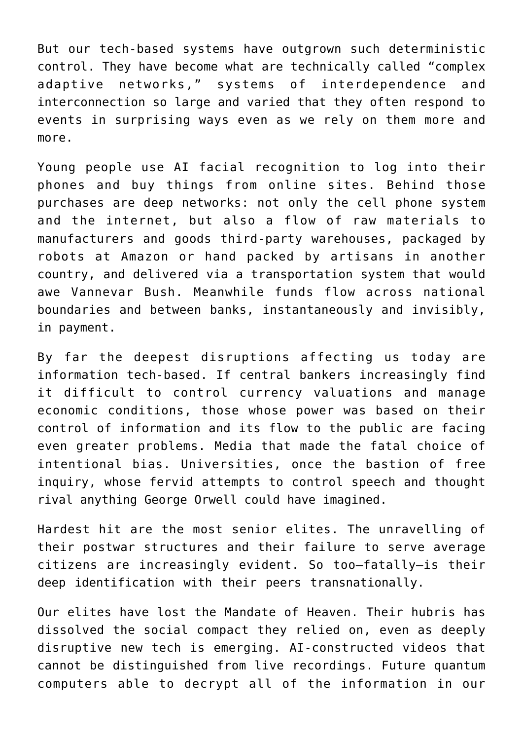But our tech-based systems have outgrown such deterministic control. They have become what are technically called "complex adaptive networks," systems of interdependence and interconnection so large and varied that they often respond to events in surprising ways even as we rely on them more and more.

Young people use AI facial recognition to log into their phones and buy things from online sites. Behind those purchases are deep networks: not only the cell phone system and the internet, but also a flow of raw materials to manufacturers and goods third-party warehouses, packaged by robots at Amazon or hand packed by artisans in another country, and delivered via a transportation system that would awe Vannevar Bush. Meanwhile funds flow across national boundaries and between banks, instantaneously and invisibly, in payment.

By far the deepest disruptions affecting us today are information tech-based. If central bankers increasingly find it difficult to control currency valuations and manage economic conditions, those whose power was based on their control of information and its flow to the public are facing even greater problems. Media that made the fatal choice of intentional bias. Universities, once the bastion of free inquiry, whose fervid attempts to control speech and thought rival anything George Orwell could have imagined.

Hardest hit are the most senior elites. The unravelling of their postwar structures and their failure to serve average citizens are increasingly evident. So too—fatally—is their deep identification with their peers transnationally.

Our elites have lost the Mandate of Heaven. Their hubris has dissolved the social compact they relied on, even as deeply disruptive new tech is emerging. AI-constructed videos that cannot be distinguished from live recordings. Future quantum computers able to decrypt all of the information in our